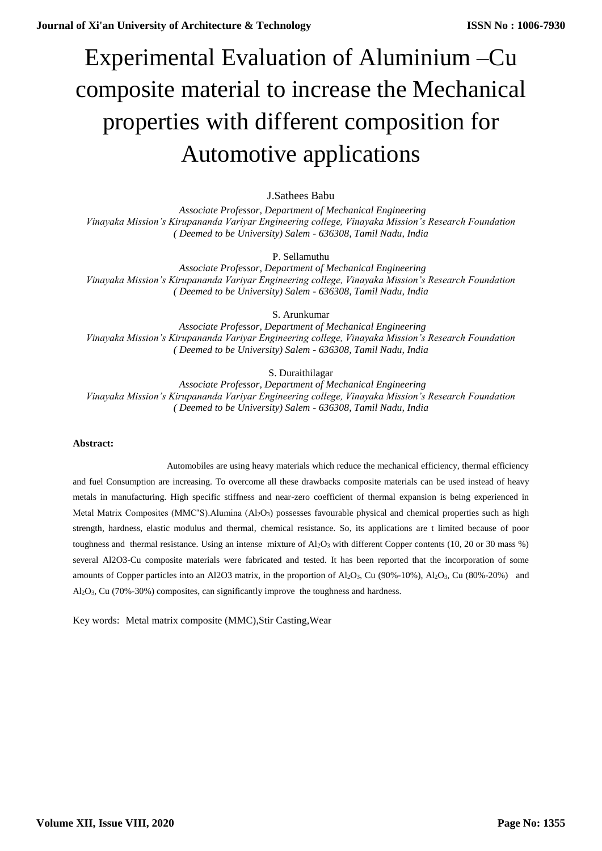# Experimental Evaluation of Aluminium –Cu composite material to increase the Mechanical properties with different composition for Automotive applications

# J.Sathees Babu

 *Associate Professor, Department of Mechanical Engineering Vinayaka Mission's Kirupananda Variyar Engineering college, Vinayaka Mission's Research Foundation ( Deemed to be University) Salem - 636308, Tamil Nadu, India*

P. Sellamuthu

 *Associate Professor, Department of Mechanical Engineering Vinayaka Mission's Kirupananda Variyar Engineering college, Vinayaka Mission's Research Foundation ( Deemed to be University) Salem - 636308, Tamil Nadu, India*

S. Arunkumar

 *Associate Professor, Department of Mechanical Engineering Vinayaka Mission's Kirupananda Variyar Engineering college, Vinayaka Mission's Research Foundation ( Deemed to be University) Salem - 636308, Tamil Nadu, India*

S. Duraithilagar

 *Associate Professor, Department of Mechanical Engineering Vinayaka Mission's Kirupananda Variyar Engineering college, Vinayaka Mission's Research Foundation ( Deemed to be University) Salem - 636308, Tamil Nadu, India*

## **Abstract:**

Automobiles are using heavy materials which reduce the mechanical efficiency, thermal efficiency and fuel Consumption are increasing. To overcome all these drawbacks composite materials can be used instead of heavy metals in manufacturing. High specific stiffness and near-zero coefficient of thermal expansion is being experienced in Metal Matrix Composites (MMC'S).Alumina (Al2O<sub>3</sub>) possesses favourable physical and chemical properties such as high strength, hardness, elastic modulus and thermal, chemical resistance. So, its applications are t limited because of poor toughness and thermal resistance. Using an intense mixture of  $Al_2O_3$  with different Copper contents (10, 20 or 30 mass %) several Al2O3-Cu composite materials were fabricated and tested. It has been reported that the incorporation of some amounts of Copper particles into an Al2O3 matrix, in the proportion of Al2O3, Cu (90%-10%), Al2O3, Cu (80%-20%) and Al2O3, Cu (70%-30%) composites, can significantly improve the toughness and hardness.

Key words: [Metal matrix composite \(MMC\),](https://journals.sagepub.com/keyword/Metal+Matrix+Composite+%5C%28MMC%5C%29)Stir Casting,Wear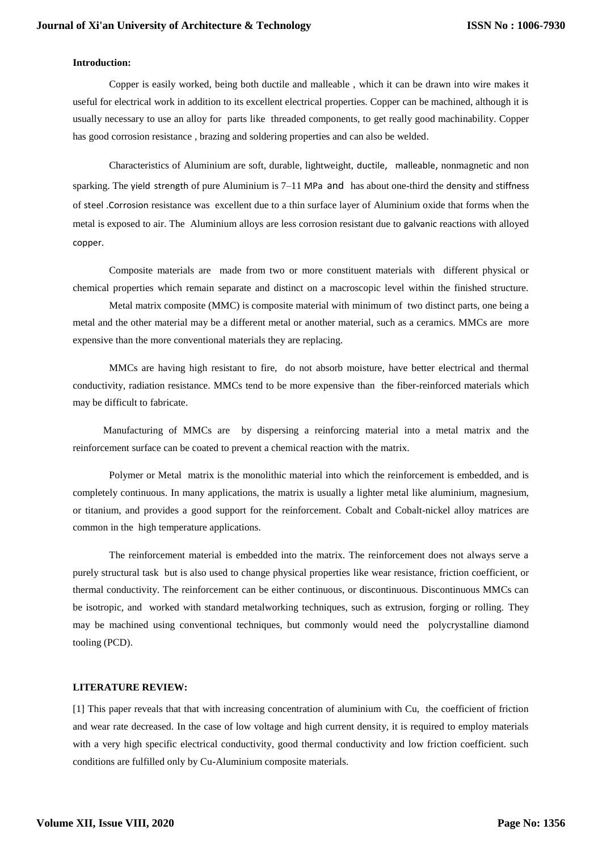## **Introduction:**

Copper is easily worked, being both ductile and malleable , which it can be drawn into wire makes it useful for electrical work in addition to its excellent electrical properties. Copper can be machined, although it is usually necessary to use an alloy for parts like threaded components, to get really good machinability. Copper has good corrosion resistance , brazing and soldering properties and can also be welded.

Characteristics of Aluminium are soft, durable, lightweight, [ductile](http://en.wikipedia.org/wiki/Ductility), [malleable](http://en.wikipedia.org/wiki/Malleable), nonmagnetic and non sparking. The [yield strength](http://en.wikipedia.org/wiki/Yield_%28engineering%29) of pure Aluminium is 7–11 [MPa](http://en.wikipedia.org/wiki/Pascal_%28unit%29) and has about one-third the [density](http://en.wikipedia.org/wiki/Density) and [stiffness](http://en.wikipedia.org/wiki/Elastic_modulus) of [steel](http://en.wikipedia.org/wiki/Steel) .[Corrosion](http://en.wikipedia.org/wiki/Corrosion) resistance was excellent due to a thin surface layer of Aluminium oxide that forms when the metal is exposed to air. The Aluminium alloys are less corrosion resistant due to [galvanic](http://en.wikipedia.org/wiki/Galvanic_cell) reactions with alloyed [copper](http://en.wikipedia.org/wiki/Copper).

Composite materials are made from two or more constituent materials with different physical or chemical properties which remain separate and distinct on a macroscopic level within the finished structure.

Metal matrix composite (MMC) is composite material with minimum of two distinct parts, one being a metal and the other material may be a different metal or another material, such as a ceramics. MMCs are more expensive than the more conventional materials they are replacing.

MMCs are having high resistant to fire, do not absorb moisture, have better electrical and thermal conductivity, radiation resistance. MMCs tend to be more expensive than the fiber-reinforced materials which may be difficult to fabricate.

 Manufacturing of MMCs are by dispersing a reinforcing material into a metal matrix and the reinforcement surface can be coated to prevent a chemical reaction with the matrix.

Polymer or Metal matrix is the monolithic material into which the reinforcement is embedded, and is completely continuous. In many applications, the matrix is usually a lighter metal like aluminium, magnesium, or titanium, and provides a good support for the reinforcement. Cobalt and Cobalt-nickel alloy matrices are common in the high temperature applications.

The reinforcement material is embedded into the matrix. The reinforcement does not always serve a purely structural task but is also used to change physical properties like wear resistance, friction coefficient, or thermal conductivity. The reinforcement can be either continuous, or discontinuous. Discontinuous MMCs can be isotropic, and worked with standard metalworking techniques, such as extrusion, forging or rolling. They may be machined using conventional techniques, but commonly would need the polycrystalline diamond tooling (PCD).

#### **LITERATURE REVIEW:**

[1] This paper reveals that that with increasing concentration of aluminium with Cu, the coefficient of friction and wear rate decreased. In the case of low voltage and high current density, it is required to employ materials with a very high specific electrical conductivity, good thermal conductivity and low friction coefficient. such conditions are fulfilled only by Cu-Aluminium composite materials.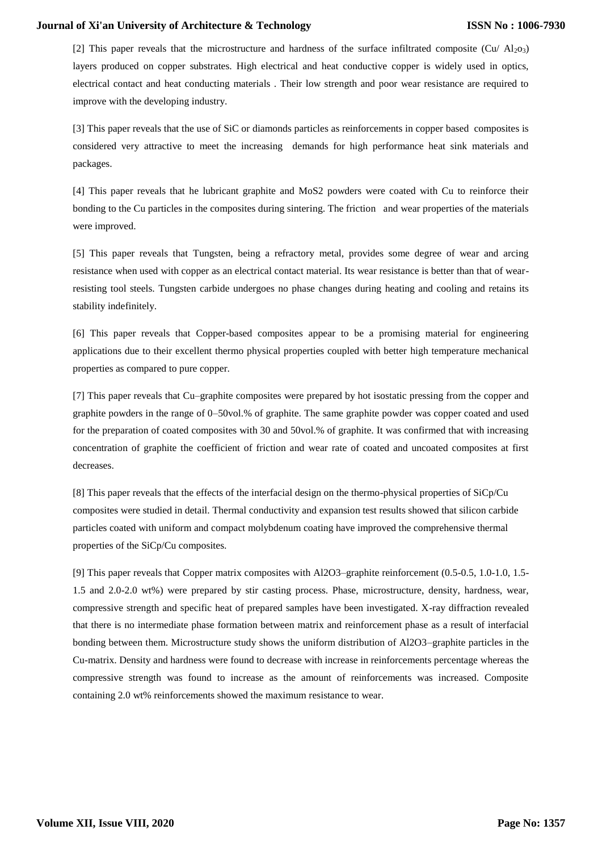[2] This paper reveals that the microstructure and hardness of the surface infiltrated composite (Cu/  $Al<sub>2</sub>O<sub>3</sub>$ ) layers produced on copper substrates. High electrical and heat conductive copper is widely used in optics, electrical contact and heat conducting materials . Their low strength and poor wear resistance are required to improve with the developing industry.

[3] This paper reveals that the use of SiC or diamonds particles as reinforcements in copper based composites is considered very attractive to meet the increasing demands for high performance heat sink materials and packages.

[4] This paper reveals that he lubricant graphite and MoS2 powders were coated with Cu to reinforce their bonding to the Cu particles in the composites during sintering. The friction and wear properties of the materials were improved.

[5] This paper reveals that Tungsten, being a refractory metal, provides some degree of wear and arcing resistance when used with copper as an electrical contact material. Its wear resistance is better than that of wearresisting tool steels. Tungsten carbide undergoes no phase changes during heating and cooling and retains its stability indefinitely.

[6] This paper reveals that Copper-based composites appear to be a promising material for engineering applications due to their excellent thermo physical properties coupled with better high temperature mechanical properties as compared to pure copper.

[7] This paper reveals that Cu–graphite composites were prepared by hot isostatic pressing from the copper and graphite powders in the range of 0–50vol.% of graphite. The same graphite powder was copper coated and used for the preparation of coated composites with 30 and 50vol.% of graphite. It was confirmed that with increasing concentration of graphite the coefficient of friction and wear rate of coated and uncoated composites at first decreases.

[8] This paper reveals that the effects of the interfacial design on the thermo-physical properties of SiCp/Cu composites were studied in detail. Thermal conductivity and expansion test results showed that silicon carbide particles coated with uniform and compact molybdenum coating have improved the comprehensive thermal properties of the SiCp/Cu composites.

[9] This paper reveals that Copper matrix composites with Al2O3–graphite reinforcement (0.5-0.5, 1.0-1.0, 1.5- 1.5 and 2.0-2.0 wt%) were prepared by stir casting process. Phase, microstructure, density, hardness, wear, compressive strength and specific heat of prepared samples have been investigated. X-ray diffraction revealed that there is no intermediate phase formation between matrix and reinforcement phase as a result of interfacial bonding between them. Microstructure study shows the uniform distribution of Al2O3–graphite particles in the Cu-matrix. Density and hardness were found to decrease with increase in reinforcements percentage whereas the compressive strength was found to increase as the amount of reinforcements was increased. Composite containing 2.0 wt% reinforcements showed the maximum resistance to wear.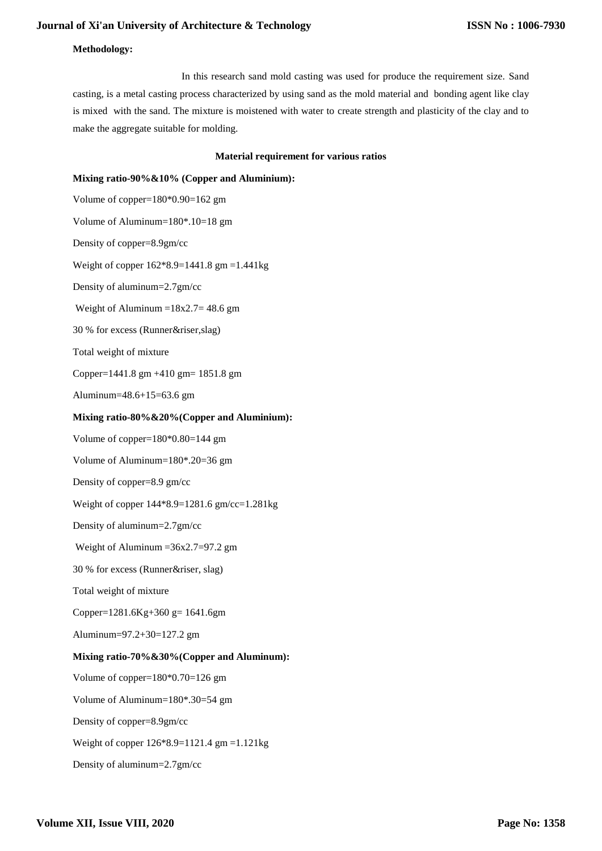## **Methodology:**

 In this research sand mold casting was used for produce the requirement size. Sand casting, is a [metal casting](http://en.wikipedia.org/wiki/Metal_casting) process characterized by using [sand](http://en.wikipedia.org/wiki/Sand) as the [mold](http://en.wikipedia.org/wiki/Mold_%28manufacturing%29) material and bonding agent like clay is mixed with the sand. The mixture is moistened with water to create strength and plasticity of the clay and to make the aggregate suitable for molding.

#### **Material requirement for various ratios**

#### **Mixing ratio-90%&10% (Copper and Aluminium):**

Volume of copper=180\*0.90=162 gm Volume of Aluminum=180\*.10=18 gm Density of copper=8.9gm/cc Weight of copper 162\*8.9=1441.8 gm =1.441kg Density of aluminum=2.7gm/cc Weight of Aluminum  $=18x^2.7=48.6$  gm 30 % for excess (Runner&riser,slag) Total weight of mixture Copper=1441.8 gm +410 gm= 1851.8 gm Aluminum=48.6+15=63.6 gm **Mixing ratio-80%&20%(Copper and Aluminium):** Volume of copper=180\*0.80=144 gm Volume of Aluminum=180\*.20=36 gm Density of copper=8.9 gm/cc Weight of copper 144\*8.9=1281.6 gm/cc=1.281kg Density of aluminum=2.7gm/cc Weight of Aluminum  $=36x2.7=97.2$  gm 30 % for excess (Runner&riser, slag) Total weight of mixture Copper= $1281.6Kg+360g=1641.6gm$ Aluminum=97.2+30=127.2 gm **Mixing ratio-70%&30%(Copper and Aluminum):** Volume of copper=180\*0.70=126 gm Volume of Aluminum=180\*.30=54 gm Density of copper=8.9gm/cc Weight of copper 126\*8.9=1121.4 gm =1.121kg Density of aluminum=2.7gm/cc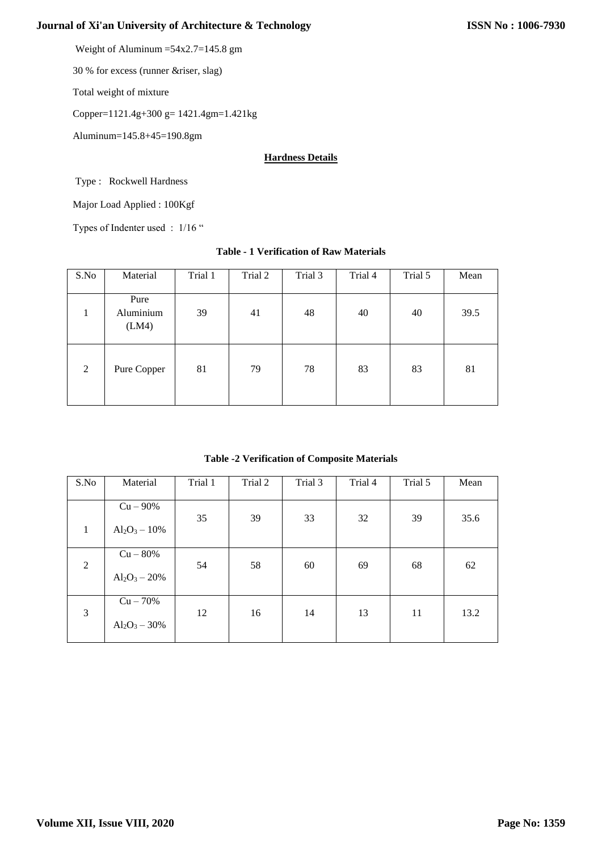Weight of Aluminum =54x2.7=145.8 gm

30 % for excess (runner &riser, slag)

Total weight of mixture

Copper=1121.4g+300 g= 1421.4gm=1.421kg

Aluminum=145.8+45=190.8gm

## **Hardness Details**

Type : Rockwell Hardness

Major Load Applied : 100Kgf

Types of Indenter used : 1/16 "

# **Table - 1 Verification of Raw Materials**

| S.No | Material                   | Trial 1 | Trial 2 | Trial 3 | Trial 4 | Trial 5 | Mean |
|------|----------------------------|---------|---------|---------|---------|---------|------|
| 1    | Pure<br>Aluminium<br>(LM4) | 39      | 41      | 48      | 40      | 40      | 39.5 |
| 2    | Pure Copper                | 81      | 79      | 78      | 83      | 83      | 81   |

**Table -2 Verification of Composite Materials**

| S.No         | Material                       | Trial 1 | Trial 2 | Trial 3 | Trial 4 | Trial 5 | Mean |
|--------------|--------------------------------|---------|---------|---------|---------|---------|------|
| $\mathbf{1}$ | $Cu - 90%$<br>$Al_2O_3 - 10\%$ | 35      | 39      | 33      | 32      | 39      | 35.6 |
| 2            | $Cu - 80%$<br>$Al_2O_3 - 20\%$ | 54      | 58      | 60      | 69      | 68      | 62   |
| 3            | $Cu - 70%$<br>$Al_2O_3 - 30\%$ | 12      | 16      | 14      | 13      | 11      | 13.2 |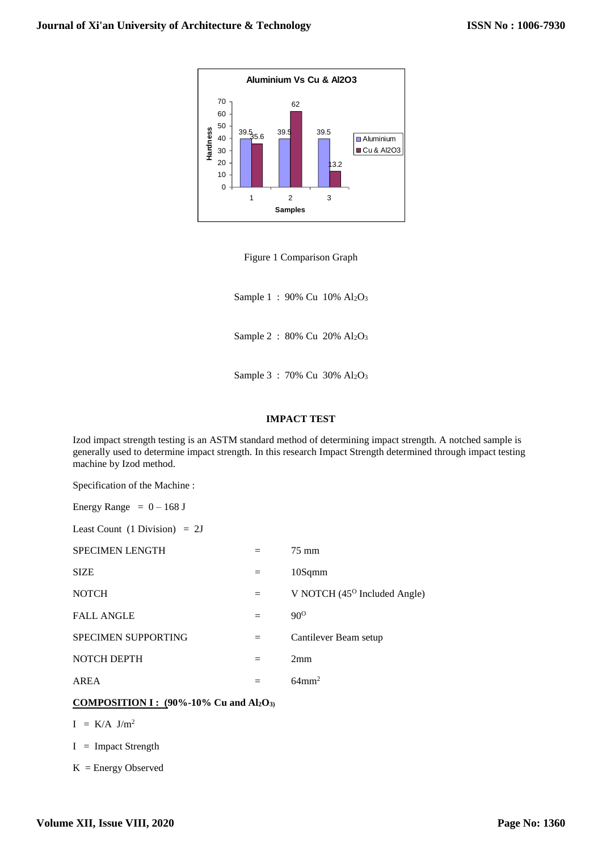

Figure 1 Comparison Graph

Sample 1: 90% Cu 10% Al<sub>2</sub>O<sub>3</sub>

Sample 2 : 80% Cu 20% Al2O<sup>3</sup>

Sample 3: 70% Cu 30% Al<sub>2</sub>O<sub>3</sub>

# **IMPACT TEST**

Izod impact strength testing is an [ASTM](http://en.wikipedia.org/wiki/ASTM) standard method of determining impact strength. A notched sample is generally used to determine impact strength. In this research Impact Strength determined through impact testing machine by Izod method.

Specification of the Machine :

| Energy Range $= 0 - 168$ J |  |  |
|----------------------------|--|--|
|----------------------------|--|--|

Least Count  $(1 \text{ Division}) = 2J$ 

| SPECIMEN LENGTH            |     | 75 mm                                 |
|----------------------------|-----|---------------------------------------|
| <b>SIZE</b>                | $=$ | 10Sqmm                                |
| <b>NOTCH</b>               | $=$ | V NOTCH $(45^{\circ}$ Included Angle) |
| <b>FALL ANGLE</b>          |     | $90^{\rm o}$                          |
| <b>SPECIMEN SUPPORTING</b> | $=$ | Cantilever Beam setup                 |
| NOTCH DEPTH                |     | 2mm                                   |
| AREA                       |     | $64 \text{mm}^2$                      |

## **COMPOSITION I : (90%-10% Cu and Al2O3)**

 $I = K/A$  J/m<sup>2</sup>

I = Impact Strength

 $K =$  Energy Observed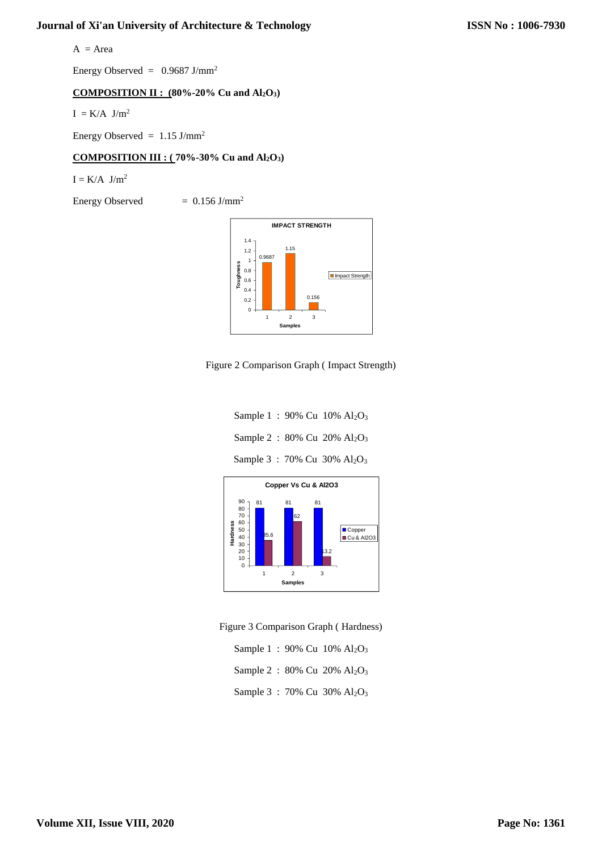$A = Area$ 

Energy Observed =  $0.9687$  J/mm<sup>2</sup>

# **COMPOSITION II : (80%-20% Cu and Al2O3)**

 $I = K/A$  J/m<sup>2</sup>

Energy Observed =  $1.15$  J/mm<sup>2</sup>

# **COMPOSITION III : ( 70%-30% Cu and Al2O3)**

 $I = K/A$  J/m<sup>2</sup>

Energy Observed  $= 0.156$  J/mm<sup>2</sup>



Figure 2 Comparison Graph ( Impact Strength)

Sample 1 : 90% Cu 10% Al<sub>2</sub>O<sub>3</sub> Sample 2 : 80% Cu 20% Al<sub>2</sub>O<sub>3</sub> Sample 3: 70% Cu 30% Al<sub>2</sub>O<sub>3</sub>



Figure 3 Comparison Graph ( Hardness)

|  | Sample 1: 90% Cu $10\%$ Al <sub>2</sub> O <sub>3</sub>     |
|--|------------------------------------------------------------|
|  | Sample 2 : $80\%$ Cu $20\%$ Al <sub>2</sub> O <sub>3</sub> |
|  | Sample 3 : 70% Cu 30% $Al_2O_3$                            |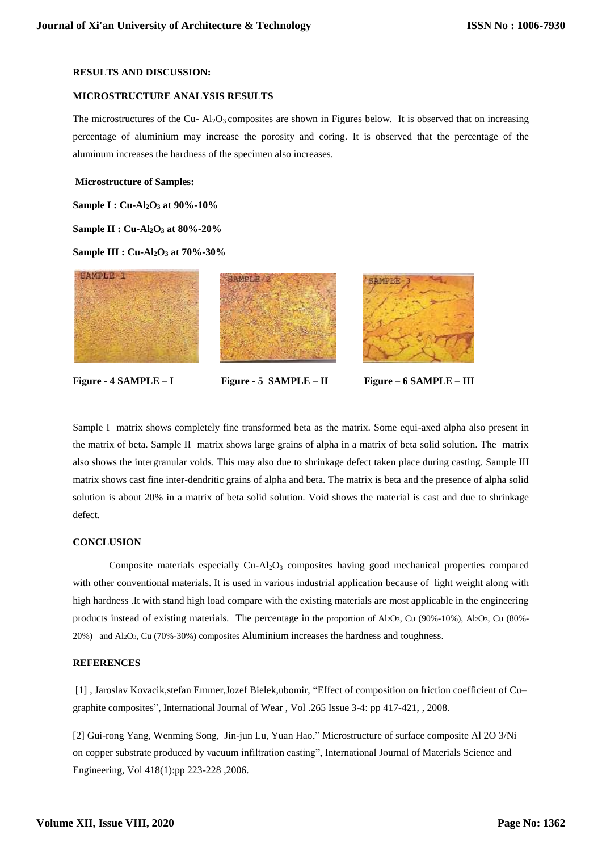# **RESULTS AND DISCUSSION:**

#### **MICROSTRUCTURE ANALYSIS RESULTS**

The microstructures of the Cu-  $Al_2O_3$  composites are shown in Figures below. It is observed that on increasing percentage of aluminium may increase the porosity and coring. It is observed that the percentage of the aluminum increases the hardness of the specimen also increases.

#### **Microstructure of Samples:**

**Sample I : Cu-Al2O<sup>3</sup> at 90%-10%**

**Sample II : Cu-Al2O<sup>3</sup> at 80%-20%** 

**Sample III : Cu-Al2O<sup>3</sup> at 70%-30%**



**Figure - 4 SAMPLE – I Figure - 5 SAMPLE – II Figure – 6 SAMPLE – III**

Sample I matrix shows completely fine transformed beta as the matrix. Some equi-axed alpha also present in the matrix of beta. Sample II matrix shows large grains of alpha in a matrix of beta solid solution. The matrix also shows the intergranular voids. This may also due to shrinkage defect taken place during casting. Sample III matrix shows cast fine inter-dendritic grains of alpha and beta. The matrix is beta and the presence of alpha solid solution is about 20% in a matrix of beta solid solution. Void shows the material is cast and due to shrinkage defect.

## **CONCLUSION**

Composite materials especially Cu-Al<sub>2</sub>O<sub>3</sub> composites having good mechanical properties compared with other conventional materials. It is used in various industrial application because of light weight along with high hardness .It with stand high load compare with the existing materials are most applicable in the engineering products instead of existing materials. The percentage in the proportion of Al2O3, Cu (90%-10%), Al2O3, Cu (80%- 20%) and Al2O3, Cu (70%-30%) composites Aluminium increases the hardness and toughness.

## **REFERENCES**

[1] , Jaroslav Kovacik,stefan Emmer,Jozef Bielek,ubomir, "Effect of composition on friction coefficient of Cu– graphite composites", [International Journal of W](https://www.researchgate.net/journal/0017-9310_International_Journal_of_Heat_and_Mass_Transfer)ear , Vol .265 Issue 3-4: pp 417-421, , 2008.

[2] Gui-rong Yang, Wenming Song, Jin-jun Lu, Yuan Hao," Microstructure of surface composite Al 2O 3/Ni on copper substrate produced by vacuum infiltration casting", International Journal of Materials Science and Engineering, Vol 418(1):pp 223-228 ,2006.